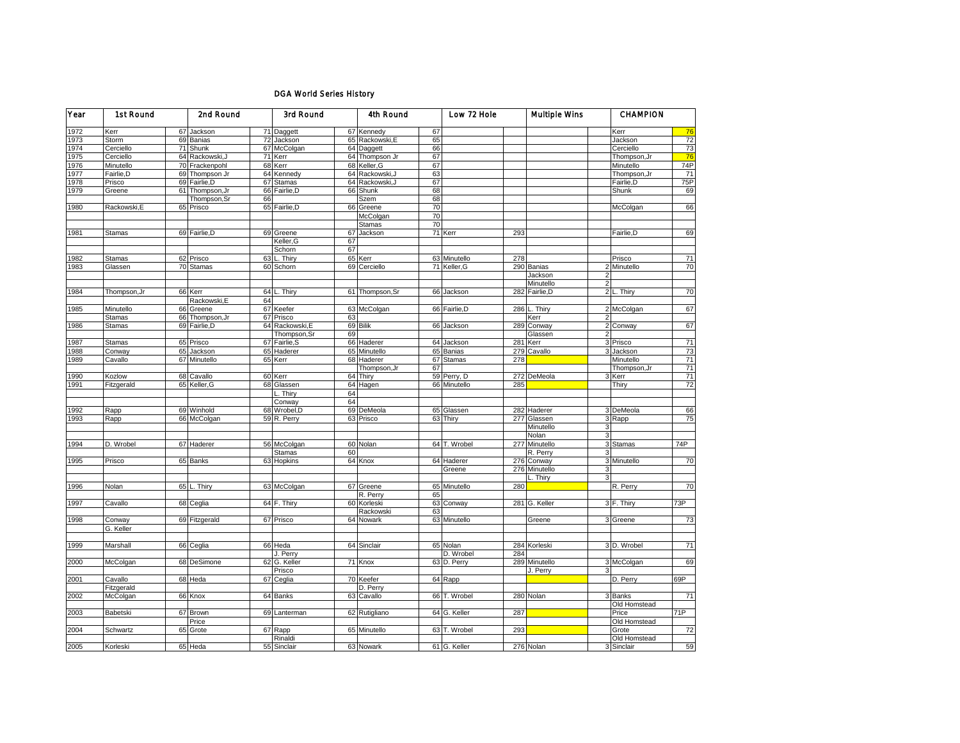## DGA World Series History

| Year | 1st Round     |    | 2nd Round       |      | 3rd Round       |    | 4th Round       |    | Low 72 Hole   |     | Multiple Wins  |                          | <b>CHAMPION</b> |                 |
|------|---------------|----|-----------------|------|-----------------|----|-----------------|----|---------------|-----|----------------|--------------------------|-----------------|-----------------|
| 1972 | Kerr          |    | 67 Jackson      |      | 71 Daggett      |    | 67 Kennedy      | 67 |               |     |                |                          | Kerr            | 76              |
| 1973 | Storm         |    | 69 Banias       |      | 72 Jackson      |    | 65 Rackowski, E | 65 |               |     |                |                          | Jackson         | 72              |
| 1974 | Cerciello     |    | 71 Shunk        |      | 67 McColgan     |    | 64 Daggett      | 66 |               |     |                |                          | Cerciello       | 73              |
| 1975 | Cerciello     |    | 64 Rackowski, J |      | 71 Kerr         |    | 64 Thompson Jr  | 67 |               |     |                |                          | Thompson, Jr    | 76              |
| 1976 | Minutello     |    | 70 Frackenpohl  |      | 68 Kerr         |    | 68 Keller, G    | 67 |               |     |                |                          | Minutello       | 74P             |
| 1977 | Fairlie.D     |    | 69 Thompson Jr  |      | 64 Kennedy      |    | 64 Rackowski.J  | 63 |               |     |                |                          | Thompson, Jr    | $\overline{71}$ |
| 1978 | Prisco        |    | 69 Fairlie, D   |      | 67 Stamas       |    | 64 Rackowski, J | 67 |               |     |                |                          | Fairlie, D      | 75P             |
| 1979 | Greene        | 61 | Thompson, Jr    |      | 66 Fairlie, D   | 66 | Shunk           | 68 |               |     |                |                          | Shunk           | 69              |
|      |               |    | Thompson, Sr    | 66   |                 |    | Szem            | 68 |               |     |                |                          |                 |                 |
| 1980 | Rackowski,E   |    | 65 Prisco       |      | 65 Fairlie, D   |    | 66 Greene       | 70 |               |     |                |                          | McColgan        | 66              |
|      |               |    |                 |      |                 |    | McColgan        | 70 |               |     |                |                          |                 |                 |
|      |               |    |                 |      |                 |    | <b>Stamas</b>   | 70 |               |     |                |                          |                 |                 |
| 1981 | Stamas        |    | 69 Fairlie, D   |      | 69 Greene       | 67 | Jackson         |    | 71 Kerr       | 293 |                |                          | Fairlie, D      | 69              |
|      |               |    |                 |      | Keller, G       | 67 |                 |    |               |     |                |                          |                 |                 |
|      |               |    |                 |      | Schorn          | 67 |                 |    |               |     |                |                          |                 |                 |
| 1982 | <b>Stamas</b> |    | 62 Prisco       | 63 L | . Thiry         |    | 65 Kerr         |    | 63 Minutello  | 278 |                |                          | Prisco          | 71              |
| 1983 | Glassen       |    | 70 Stamas       |      | 60 Schorn       |    | 69 Cerciello    |    | 71 Keller, G  |     | 290 Banias     |                          | Minutello       | 70              |
|      |               |    |                 |      |                 |    |                 |    |               |     | Jackson        | $\overline{2}$           |                 |                 |
|      |               |    |                 |      |                 |    |                 |    |               |     | Minutello      | $\overline{2}$           |                 |                 |
| 1984 | Thompson, Jr  |    | 66 Kerr         | 64 L | Thiry           |    | 61 Thompson, Sr |    | 66 Jackson    |     | 282 Fairlie, D |                          | 2L<br>Thiry     | 70              |
|      |               |    | Rackowski, E    | 64   |                 |    |                 |    |               |     |                |                          |                 |                 |
| 1985 | Minutello     |    | 66 Greene       |      | 67 Keefer       |    | 63 McColgan     |    | 66 Fairlie, D | 286 | . Thiry        |                          | 2 McColgan      | 67              |
|      | <b>Stamas</b> |    | 66 Thompson, Jr |      | 67 Prisco       | 63 |                 |    |               |     | Kerr           |                          |                 |                 |
| 1986 | Stamas        |    | 69 Fairlie, D   |      | 64 Rackowski, E |    | 69 Bilik        |    | 66 Jackson    | 289 | Conway         |                          | 2 Conway        | 67              |
|      |               |    |                 |      | Thompson, Sr    | 69 |                 |    |               |     | Glassen        | $\overline{\phantom{a}}$ |                 |                 |
| 1987 | Stamas        |    | 65 Prisco       |      | 67 Fairlie, S   |    | 66 Haderer      |    | 64 Jackson    | 281 | Kerr           | 3                        | Prisco          | 71              |
| 1988 | Conway        |    | 65 Jackson      |      | 65 Haderer      |    | 65 Minutello    |    | 65 Banias     | 279 | Cavallo        |                          | Jackson         | 73              |
| 1989 | Cavallo       |    | 67 Minutello    |      | 65 Kerr         |    | 68 Haderer      |    | 67 Stamas     | 278 |                |                          | Minutello       | 71              |
|      |               |    |                 |      |                 |    | Thompson, Jr    | 67 |               |     |                |                          | Thompson, Jr    | 71              |
| 1990 | Kozlow        |    | 68 Cavallo      |      | 60 Kerr         | 64 | Thiry           |    | 59 Perry, D   |     | 272 DeMeola    |                          | Kerr            | 71              |
| 1991 | Fitzgerald    |    | 65 Keller, G    |      | 68 Glassen      |    | 64 Hagen        |    | 66 Minutello  | 285 |                |                          | Thirv           | $\overline{72}$ |
|      |               |    |                 |      | Thiry           | 64 |                 |    |               |     |                |                          |                 |                 |
|      |               |    |                 |      | Conway          | 64 |                 |    |               |     |                |                          |                 |                 |
| 1992 | Rapp          |    | 69 Winhold      |      | 68 Wrobel, D    |    | 69 DeMeola      |    | 65 Glassen    |     | 282 Haderer    |                          | 3 DeMeola       | 66              |
| 1993 | Rapp          |    | 66 McColgan     |      | 59 R. Perry     |    | 63 Prisco       |    | 63 Thiry      | 277 | Glassen        | 3                        | Rapp            | 75              |
|      |               |    |                 |      |                 |    |                 |    |               |     | Minutello      | 3                        |                 |                 |
|      |               |    |                 |      |                 |    |                 |    |               |     | Nolan          | 3                        |                 |                 |
| 1994 | D. Wrobel     |    | 67 Haderer      |      | 56 McColgan     |    | 60 Nolan        |    | 64 T. Wrobel  |     | 277 Minutello  | 3                        | Stamas          | 74P             |
|      |               |    |                 |      | <b>Stamas</b>   | 60 |                 |    |               |     | R. Perry       | 3                        |                 |                 |
| 1995 | Prisco        |    | 65 Banks        |      | 63 Hopkins      |    | 64 Knox         |    | 64 Haderer    |     | 276 Conway     |                          | 3 Minutello     | 70              |
|      |               |    |                 |      |                 |    |                 |    | Greene        |     | 276 Minutello  | 3                        |                 |                 |
|      |               |    |                 |      |                 |    |                 |    |               |     | Thiry          | $\overline{\mathbf{3}}$  |                 |                 |
| 1996 | Nolan         |    | 65 L. Thiry     |      | 63 McColgan     |    | 67 Greene       |    | 65 Minutello  | 280 |                |                          | R. Perry        | 70              |
|      |               |    |                 |      |                 |    | R. Perry        | 65 |               |     |                |                          |                 |                 |
| 1997 | Cavallo       |    | 68 Ceglia       |      | 64 F. Thiry     |    | 60 Korleski     |    | 63 Conway     |     | 281 G. Keller  |                          | 3 F. Thiry      | 73P             |
|      |               |    |                 |      |                 |    | Rackowski       | 63 |               |     |                |                          |                 |                 |
| 1998 | Conway        |    | 69 Fitzgerald   |      | 67 Prisco       | 64 | Nowark          |    | 63 Minutello  |     | Greene         |                          | 3 Greene        | 73              |
|      | G. Keller     |    |                 |      |                 |    |                 |    |               |     |                |                          |                 |                 |
|      |               |    |                 |      |                 |    |                 |    |               |     |                |                          |                 |                 |
| 1999 | Marshall      |    | 66 Ceglia       |      | 66 Heda         |    | 64 Sinclair     |    | 65 Nolan      |     | 284 Korleski   |                          | 3 D. Wrobel     | 71              |
|      |               |    |                 |      | J. Perry        |    |                 |    | D. Wrobel     | 284 |                |                          |                 |                 |
| 2000 | McColgan      |    | 68 DeSimone     |      | 62 G. Keller    |    | 71 Knox         |    | 63 D. Perry   |     | 289 Minutello  |                          | 3 McColgan      | 69              |
|      |               |    |                 |      | Prisco          |    |                 |    |               |     | J. Perry       |                          |                 |                 |
| 2001 | Cavallo       |    | 68 Heda         |      | 67 Ceglia       |    | 70 Keefer       |    | 64 Rapp       |     |                |                          | D. Perry        | 69P             |
|      | Fitzgerald    |    |                 |      |                 |    | D. Perry        |    |               |     |                |                          |                 |                 |
| 2002 | McColgan      |    | 66 Knox         |      | 64 Banks        |    | 63 Cavallo      | 66 | T. Wrobel     | 280 | Nolan          |                          | 3 Banks         | 71              |
|      |               |    |                 |      |                 |    |                 |    |               |     |                |                          | Old Homstead    |                 |
| 2003 | Babetski      |    | 67 Brown        |      | 69 Lanterman    |    | 62 Rutigliano   |    | 64 G. Keller  | 287 |                |                          | Price           | 71P             |
|      |               |    | Price           |      |                 |    |                 |    |               |     |                |                          | Old Homstead    |                 |
| 2004 | Schwartz      |    | 65 Grote        |      | 67 Rapp         |    | 65 Minutello    |    | 63 T. Wrobel  | 293 |                |                          | Grote           | 72              |
|      |               |    |                 |      | Rinaldi         |    |                 |    |               |     |                |                          | Old Homstead    |                 |
| 2005 | Korleski      |    | 65 Heda         |      | 55 Sinclair     |    | 63 Nowark       |    | 61 G. Keller  |     | 276 Nolan      |                          | 3 Sinclair      | 59              |